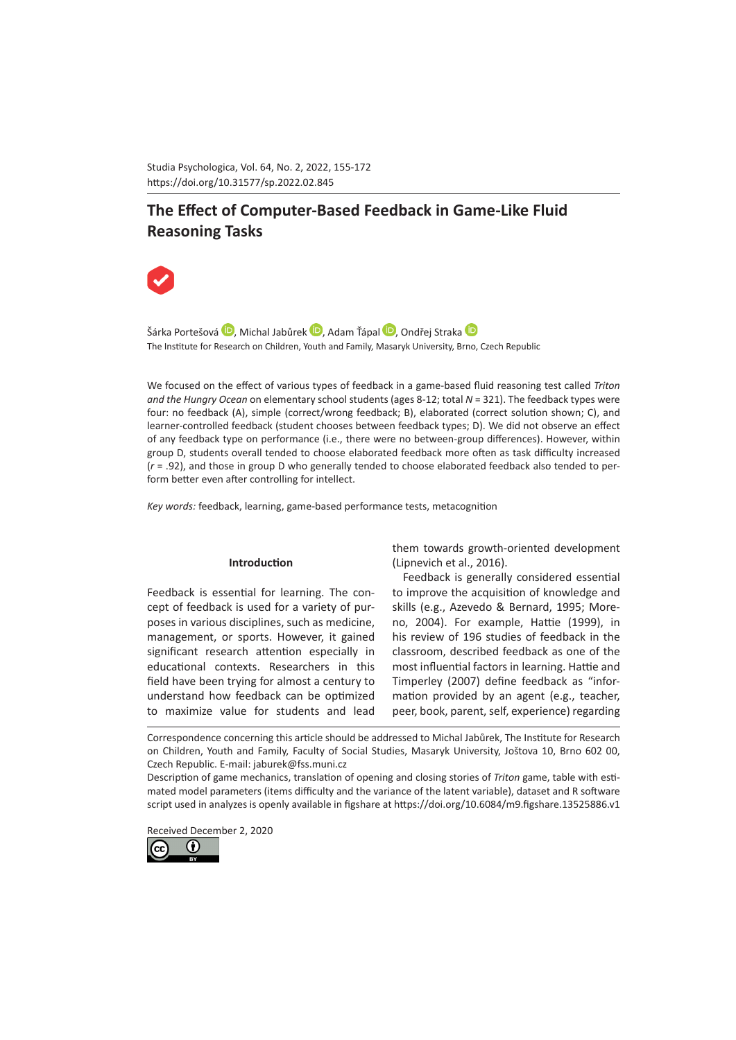Studia Psychologica, Vol. 64, No. 2, 2022, 155-172 https://doi.org/10.31577/sp.2022.02.845 

# **The Effect of Computer-Based Feedback in Game-Like Fluid Reasoning Tasks**



Šárka Portešov[á](https://orcid.org/0000-0002-8107-5981) D, Michal Jabůrek D, Adam Ťápal D, Ondřej Strak[a](https://orcid.org/0000-0001-5631-8825) D The Institute for Research on Children, Youth and Family, Masaryk University, Brno, Czech Republic

We focused on the effect of various types of feedback in a game-based fluid reasoning test called *Triton and the Hungry Ocean* on elementary school students (ages 8-12; total *N* = 321). The feedback types were four: no feedback (A), simple (correct/wrong feedback; B), elaborated (correct solution shown; C), and learner-controlled feedback (student chooses between feedback types; D). We did not observe an effect of any feedback type on performance (i.e., there were no between-group differences). However, within group D, students overall tended to choose elaborated feedback more often as task difficulty increased (*r* = .92), and those in group D who generally tended to choose elaborated feedback also tended to perform better even after controlling for intellect.

*Key words:* feedback, learning, game-based performance tests, metacognition

## **Introduction**

Feedback is essential for learning. The concept of feedback is used for a variety of purposes in various disciplines, such as medicine, management, or sports. However, it gained significant research attention especially in educational contexts. Researchers in this field have been trying for almost a century to understand how feedback can be optimized to maximize value for students and lead

them towards growth-oriented development (Lipnevich et al., 2016).

Feedback is generally considered essential to improve the acquisition of knowledge and skills (e.g., Azevedo & Bernard, 1995; Moreno, 2004). For example, Hattie (1999), in his review of 196 studies of feedback in the classroom, described feedback as one of the most influential factors in learning. [Hattie and](https://journals.sagepub.com/doi/full/10.3102/0034654314564881)  [Timperley \(2007\)](https://journals.sagepub.com/doi/full/10.3102/0034654314564881) define feedback as "information provided by an agent (e.g., teacher, peer, book, parent, self, experience) regarding

Correspondence concerning this article should be addressed to Michal Jabůrek, The Institute for Research on Children, Youth and Family, Faculty of Social Studies, Masaryk University, Joštova 10, Brno 602 00, Czech Republic. E-mail: jaburek@fss.muni.cz

Description of game mechanics, translation of opening and closing stories of *Triton* game, table with estimated model parameters (items difficulty and the variance of the latent variable), dataset and R software script used in analyzes is openly available in figshare at<https://doi.org/10.6084/m9.figshare.13525886.v1>

Received December 2, 2020

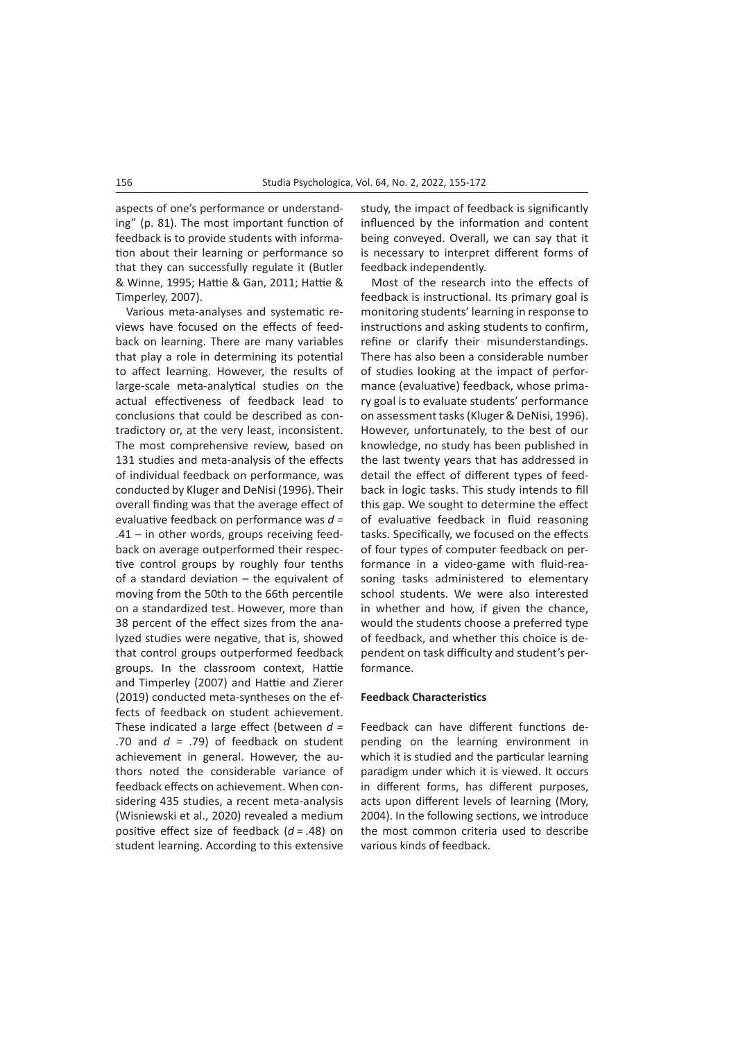aspects of one's performance or understanding" (p. 81). The most important function of feedback is to provide students with information about their learning or performance so that they can successfully regulate it (Butler & Winne, 1995; Hattie & Gan, 2011; Hattie & Timperley, 2007).

Various meta-analyses and systematic reviews have focused on the effects of feedback on learning. There are many variables that play a role in determining its potential to affect learning. However, the results of large-scale meta-analytical studies on the actual effectiveness of feedback lead to conclusions that could be described as contradictory or, at the very least, inconsistent. The most comprehensive review, based on 131 studies and meta-analysis of the effects of individual feedback on performance, was conducted by Kluger and DeNisi (1996). Their overall finding was that the average effect of evaluative feedback on performance was *d =*  .41 – in other words, groups receiving feedback on average outperformed their respective control groups by roughly four tenths of a standard deviation – the equivalent of moving from the 50th to the 66th percentile on a standardized test. However, more than 38 percent of the effect sizes from the analyzed studies were negative, that is, showed that control groups outperformed feedback groups. In the classroom context, Hattie and Timperley (2007) and Hattie and Zierer (2019) conducted meta-syntheses on the effects of feedback on student achievement. These indicated a large effect (between *d =*  .70 and *d =* .79) of feedback on student achievement in general. However, the authors noted the considerable variance of feedback effects on achievement. When considering 435 studies, a recent meta-analysis (Wisniewski et al., 2020) revealed a medium positive effect size of feedback (*d* = .48) on student learning. According to this extensive

study, the impact of feedback is significantly influenced by the information and content being conveyed. Overall, we can say that it is necessary to interpret different forms of feedback independently.

Most of the research into the effects of feedback is instructional. Its primary goal is monitoring students' learning in response to instructions and asking students to confirm, refine or clarify their misunderstandings. There has also been a considerable number of studies looking at the impact of performance (evaluative) feedback, whose primary goal is to evaluate students' performance on assessment tasks (Kluger & DeNisi, 1996). However, unfortunately, to the best of our knowledge, no study has been published in the last twenty years that has addressed in detail the effect of different types of feedback in logic tasks. This study intends to fill this gap. We sought to determine the effect of evaluative feedback in fluid reasoning tasks. Specifically, we focused on the effects of four types of computer feedback on performance in a video-game with fluid-reasoning tasks administered to elementary school students. We were also interested in whether and how, if given the chance, would the students choose a preferred type of feedback, and whether this choice is dependent on task difficulty and student's performance.

## **Feedback Characteristics**

Feedback can have different functions depending on the learning environment in which it is studied and the particular learning paradigm under which it is viewed. It occurs in different forms, has different purposes, acts upon different levels of learning (Mory, 2004). In the following sections, we introduce the most common criteria used to describe various kinds of feedback.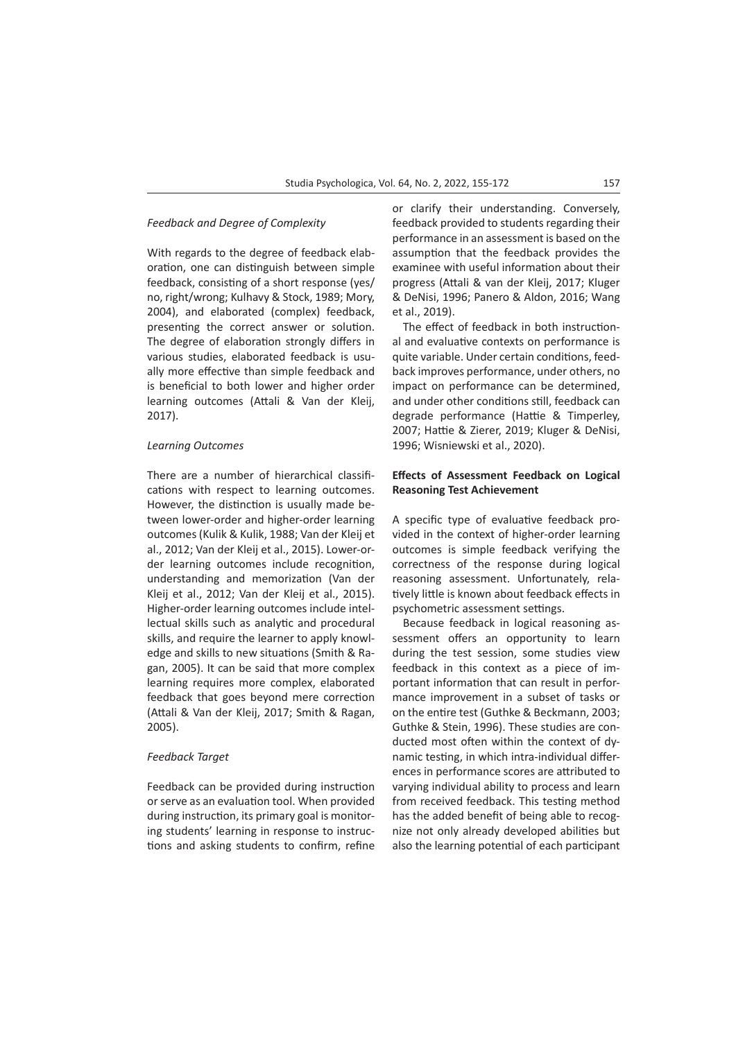## *Feedback and Degree of Complexity*

With regards to the degree of feedback elaboration, one can distinguish between simple feedback, consisting of a short response (yes/ no, right/wrong; Kulhavy & Stock, 1989; Mory, 2004), and elaborated (complex) feedback, presenting the correct answer or solution. The degree of elaboration strongly differs in various studies, elaborated feedback is usually more effective than simple feedback and is beneficial to both lower and higher order learning outcomes (Attali & Van der Kleij, 2017).

# *Learning Outcomes*

There are a number of hierarchical classifications with respect to learning outcomes. However, the distinction is usually made between lower-order and higher-order learning outcomes (Kulik & Kulik, 1988; Van der Kleij et al., 2012; Van der Kleij et al., 2015). Lower-order learning outcomes include recognition, understanding and [memorization](https://www.sciencedirect.com/topics/social-sciences/memorization) (Van der Kleij et al., 2012; Van der Kleij et al., 2015). Higher-order learning outcomes include intellectual skills such as analytic and procedural skills, and require the learner to apply knowledge and skills to new situations [\(Smith & Ra](https://journals.sagepub.com/doi/10.3102/0034654314564881)[gan, 2005](https://journals.sagepub.com/doi/10.3102/0034654314564881)). It can be said that more complex learning requires more complex, elaborated feedback that goes beyond mere correction (Attali & Van der Kleij, 2017; Smith & Ragan, 2005).

#### *Feedback Target*

Feedback can be provided during instruction or serve as an evaluation tool. When provided during instruction, its primary goal is monitoring students' learning in response to instructions and asking students to confirm, refine or clarify their understanding. Conversely, feedback provided to students regarding their performance in an assessment is based on the assumption that the feedback provides the examinee with useful information about their progress (Attali & van der Kleij, 2017; Kluger & DeNisi, 1996; Panero & Aldon, 2016; Wang et al., 2019).

The effect of feedback in both instructional and evaluative contexts on performance is quite variable. Under certain conditions, feedback improves performance, under others, no impact on performance can be determined, and under other conditions still, feedback can degrade performance (Hattie & Timperley, 2007; Hattie & Zierer, 2019; Kluger & DeNisi, 1996; Wisniewski et al., 2020).

## **Effects of Assessment Feedback on Logical Reasoning Test Achievement**

A specific type of evaluative feedback provided in the context of higher-order learning outcomes is simple feedback verifying the correctness of the response during logical reasoning assessment. Unfortunately, relatively little is known about feedback effects in psychometric assessment settings.

Because feedback in logical reasoning assessment offers an opportunity to learn during the test session, some studies view feedback in this context as a piece of important information that can result in performance improvement in a subset of tasks or on the entire test (Guthke & Beckmann, 2003; Guthke & Stein, 1996). These studies are conducted most often within the context of dynamic testing, in which intra-individual differences in performance scores are attributed to varying individual ability to process and learn from received feedback. This testing method has the added benefit of being able to recognize not only already developed abilities but also the learning potential of each participant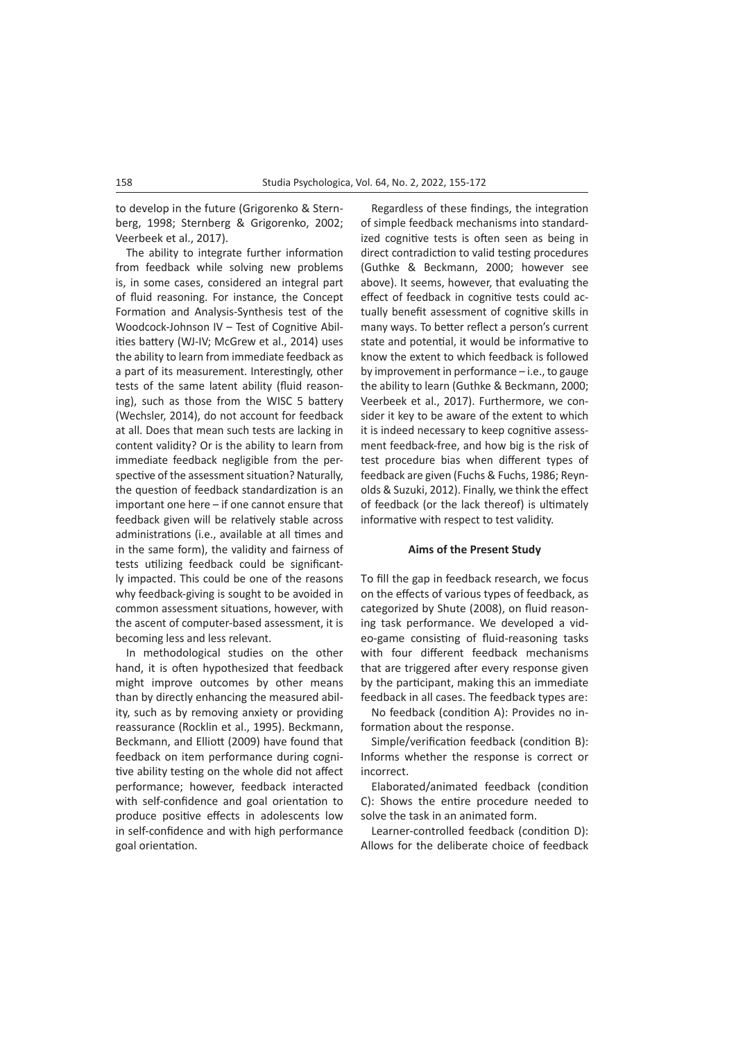to develop in the future (Grigorenko & Sternberg, 1998; Sternberg & Grigorenko, 2002; Veerbeek et al., 2017).

The ability to integrate further information from feedback while solving new problems is, in some cases, considered an integral part of fluid reasoning. For instance, the Concept Formation and Analysis-Synthesis test of the Woodcock-Johnson IV – Test of Cognitive Abilities battery (WJ-IV; McGrew et al., 2014) uses the ability to learn from immediate feedback as a part of its measurement. Interestingly, other tests of the same latent ability (fluid reasoning), such as those from the WISC 5 battery (Wechsler, 2014), do not account for feedback at all. Does that mean such tests are lacking in content validity? Or is the ability to learn from immediate feedback negligible from the perspective of the assessment situation? Naturally, the question of feedback standardization is an important one here – if one cannot ensure that feedback given will be relatively stable across administrations (i.e., available at all times and in the same form), the validity and fairness of tests utilizing feedback could be significantly impacted. This could be one of the reasons why feedback-giving is sought to be avoided in common assessment situations, however, with the ascent of computer-based assessment, it is becoming less and less relevant.

In methodological studies on the other hand, it is often hypothesized that feedback might improve outcomes by other means than by directly enhancing the measured ability, such as by removing anxiety or providing reassurance (Rocklin et al., 1995). Beckmann, Beckmann, and Elliott (2009) have found that feedback on item performance during cognitive ability testing on the whole did not affect performance; however, feedback interacted with self-confidence and goal orientation to produce positive effects in adolescents low in self-confidence and with high performance goal orientation.

Regardless of these findings, the integration of simple feedback mechanisms into standardized cognitive tests is often seen as being in direct contradiction to valid testing procedures (Guthke & Beckmann, 2000; however see above). It seems, however, that evaluating the effect of feedback in cognitive tests could actually benefit assessment of cognitive skills in many ways. To better reflect a person's current state and potential, it would be informative to know the extent to which feedback is followed by improvement in performance – i.e., to gauge the ability to learn (Guthke & Beckmann, 2000; Veerbeek et al., 2017). Furthermore, we consider it key to be aware of the extent to which it is indeed necessary to keep cognitive assessment feedback-free, and how big is the risk of test procedure bias when different types of feedback are given (Fuchs & Fuchs, 1986; Reynolds & Suzuki, 2012). Finally, we think the effect of feedback (or the lack thereof) is ultimately informative with respect to test validity.

#### **Aims of the Present Study**

To fill the gap in feedback research, we focus on the effects of various types of feedback, as categorized by Shute (2008), on fluid reasoning task performance. We developed a video-game consisting of fluid-reasoning tasks with four different feedback mechanisms that are triggered after every response given by the participant, making this an immediate feedback in all cases. The feedback types are:

No feedback (condition A): Provides no information about the response.

Simple/verification feedback (condition B): Informs whether the response is correct or incorrect.

Elaborated/animated feedback (condition C): Shows the entire procedure needed to solve the task in an animated form.

Learner-controlled feedback (condition D): Allows for the deliberate choice of feedback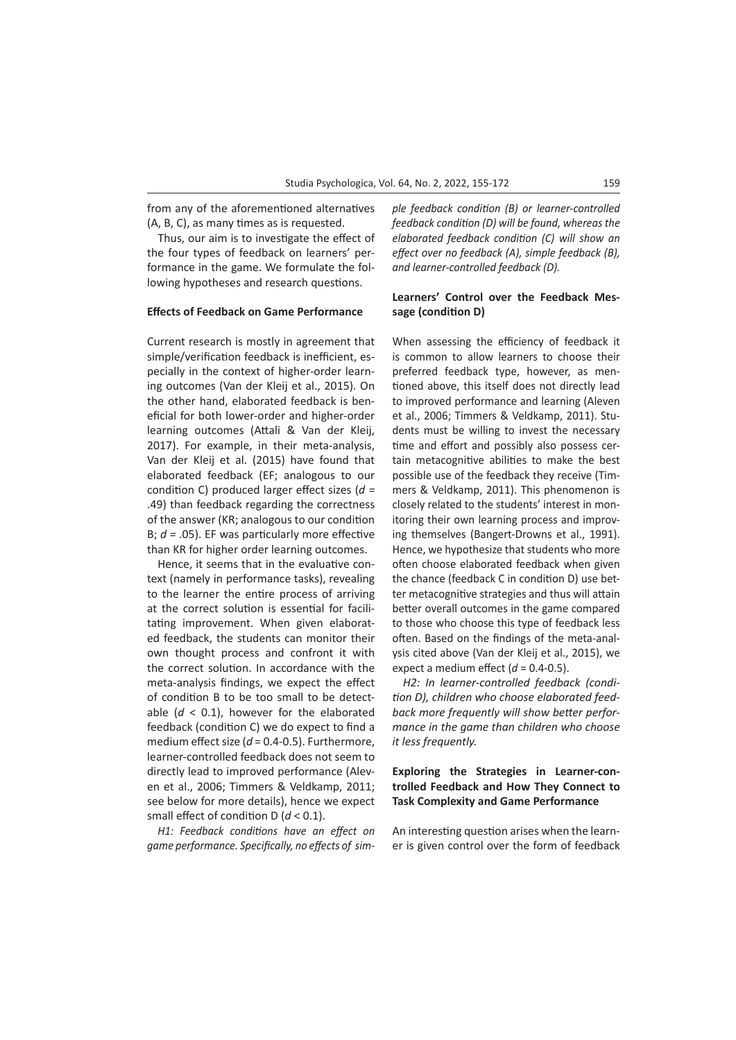from any of the aforementioned alternatives (A, B, C), as many times as is requested.

Thus, our aim is to investigate the effect of the four types of feedback on learners' performance in the game. We formulate the following hypotheses and research questions.

#### **Effects of Feedback on Game Performance**

Current research is mostly in agreement that simple/verification feedback is inefficient, especially in the context of higher-order learning outcomes (Van der Kleij et al., 2015). On the other hand, elaborated feedback is beneficial for both lower-order and higher-order learning outcomes (Attali & Van der Kleij, 2017). For example, in their meta-analysis, Van der Kleij et al. (2015) have found that elaborated feedback (EF; analogous to our condition C) produced larger effect sizes (*d =*  .49) than feedback regarding the correctness of the answer (KR; analogous to our condition B; *d =* .05). EF was particularly more effective than KR for higher order learning outcomes.

Hence, it seems that in the evaluative context (namely in performance tasks), revealing to the learner the entire process of arriving at the correct solution is essential for facilitating improvement. When given elaborated feedback, the students can monitor their own thought process and confront it with the correct solution. In accordance with the meta-analysis findings, we expect the effect of condition B to be too small to be detectable  $(d < 0.1)$ , however for the elaborated feedback (condition C) we do expect to find a medium effect size (*d* = 0.4-0.5). Furthermore, learner-controlled feedback does not seem to directly lead to improved performance (Aleven et al., 2006; Timmers & Veldkamp, 2011; see below for more details), hence we expect small effect of condition D (*d* < 0.1).

*H1: Feedback conditions have an effect on game performance. Specifically, no effects of sim-* *ple feedback condition (B) or learner-controlled feedback condition (D) will be found, whereas the elaborated feedback condition (C) will show an effect over no feedback (A), simple feedback (B), and learner-controlled feedback (D).* 

## **Learners' Control over the Feedback Message (condition D)**

When assessing the efficiency of feedback it is common to allow learners to choose their preferred feedback type, however, as mentioned above, this itself does not directly lead to improved performance and learning (Aleven et al., 2006; Timmers & Veldkamp, 2011). Students must be willing to invest the necessary time and effort and possibly also possess certain metacognitive abilities to make the best possible use of the feedback they receive (Timmers & Veldkamp, 2011). This phenomenon is closely related to the students' interest in monitoring their own learning process and improving themselves (Bangert-Drowns et al., 1991). Hence, we hypothesize that students who more often choose elaborated feedback when given the chance (feedback C in condition D) use better metacognitive strategies and thus will attain better overall outcomes in the game compared to those who choose this type of feedback less often. Based on the findings of the meta-analysis cited above (Van der Kleij et al., 2015), we expect a medium effect  $(d = 0.4 - 0.5)$ .

*H2: In learner-controlled feedback (condition D), children who choose elaborated feedback more frequently will show better performance in the game than children who choose it less frequently.*

# **Exploring the Strategies in Learner-controlled Feedback and How They Connect to Task Complexity and Game Performance**

An interesting question arises when the learner is given control over the form of feedback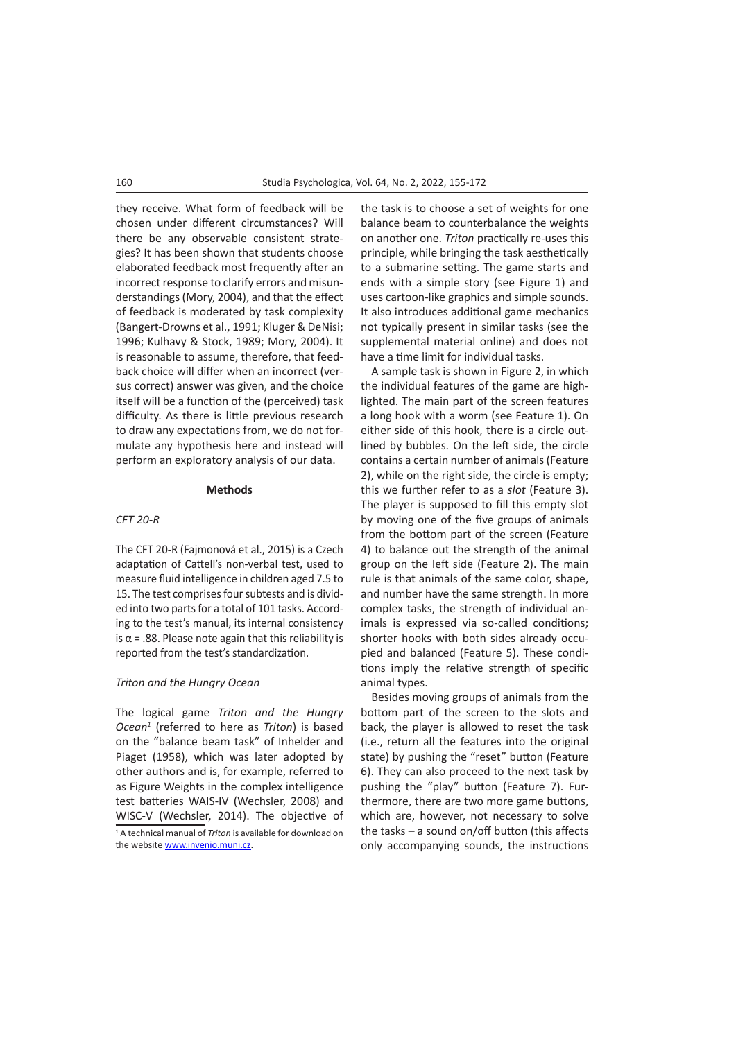they receive. What form of feedback will be chosen under different circumstances? Will there be any observable consistent strategies? It has been shown that students choose elaborated feedback most frequently after an incorrect response to clarify errors and misunderstandings (Mory, 2004), and that the effect of feedback is moderated by task complexity (Bangert-Drowns et al., 1991; Kluger & DeNisi; 1996; Kulhavy & Stock, 1989; Mory, 2004). It is reasonable to assume, therefore, that feedback choice will differ when an incorrect (versus correct) answer was given, and the choice itself will be a function of the (perceived) task difficulty. As there is little previous research to draw any expectations from, we do not formulate any hypothesis here and instead will perform an exploratory analysis of our data.

#### **Methods**

#### *CFT 20-R*

The CFT 20-R (Fajmonová et al., 2015) is a Czech adaptation of Cattell's non-verbal test, used to measure fluid intelligence in children aged 7.5 to 15. The test comprises four subtests and is divided into two parts for a total of 101 tasks. According to the test's manual, its internal consistency is  $α = .88$ . Please note again that this reliability is reported from the test's standardization.

## *Triton and the Hungry Ocean*

The logical game *Triton and the Hungry Ocean1* (referred to here as *Triton*) is based on the "balance beam task" of Inhelder and Piaget (1958), which was later adopted by other authors and is, for example, referred to as Figure Weights in the complex intelligence test batteries WAIS-IV (Wechsler, 2008) and WISC-V (Wechsler, 2014). The objective of 1 A technical manual of *Triton* is available for download on the website [www.invenio.muni.cz.](http://www.invenio.muni.cz)

the task is to choose a set of weights for one balance beam to counterbalance the weights on another one. *Triton* practically re-uses this principle, while bringing the task aesthetically to a submarine setting. The game starts and ends with a simple story (see Figure 1) and uses cartoon-like graphics and simple sounds. It also introduces additional game mechanics not typically present in similar tasks (see the supplemental material online) and does not have a time limit for individual tasks.

A sample task is shown in Figure 2, in which the individual features of the game are highlighted. The main part of the screen features a long hook with a worm (see Feature 1). On either side of this hook, there is a circle outlined by bubbles. On the left side, the circle contains a certain number of animals (Feature 2), while on the right side, the circle is empty; this we further refer to as a *slot* (Feature 3). The player is supposed to fill this empty slot by moving one of the five groups of animals from the bottom part of the screen (Feature 4) to balance out the strength of the animal group on the left side (Feature 2). The main rule is that animals of the same color, shape, and number have the same strength. In more complex tasks, the strength of individual animals is expressed via so-called conditions; shorter hooks with both sides already occupied and balanced (Feature 5). These conditions imply the relative strength of specific animal types.

Besides moving groups of animals from the bottom part of the screen to the slots and back, the player is allowed to reset the task (i.e., return all the features into the original state) by pushing the "reset" button (Feature 6). They can also proceed to the next task by pushing the "play" button (Feature 7). Furthermore, there are two more game buttons, which are, however, not necessary to solve the tasks – a sound on/off button (this affects only accompanying sounds, the instructions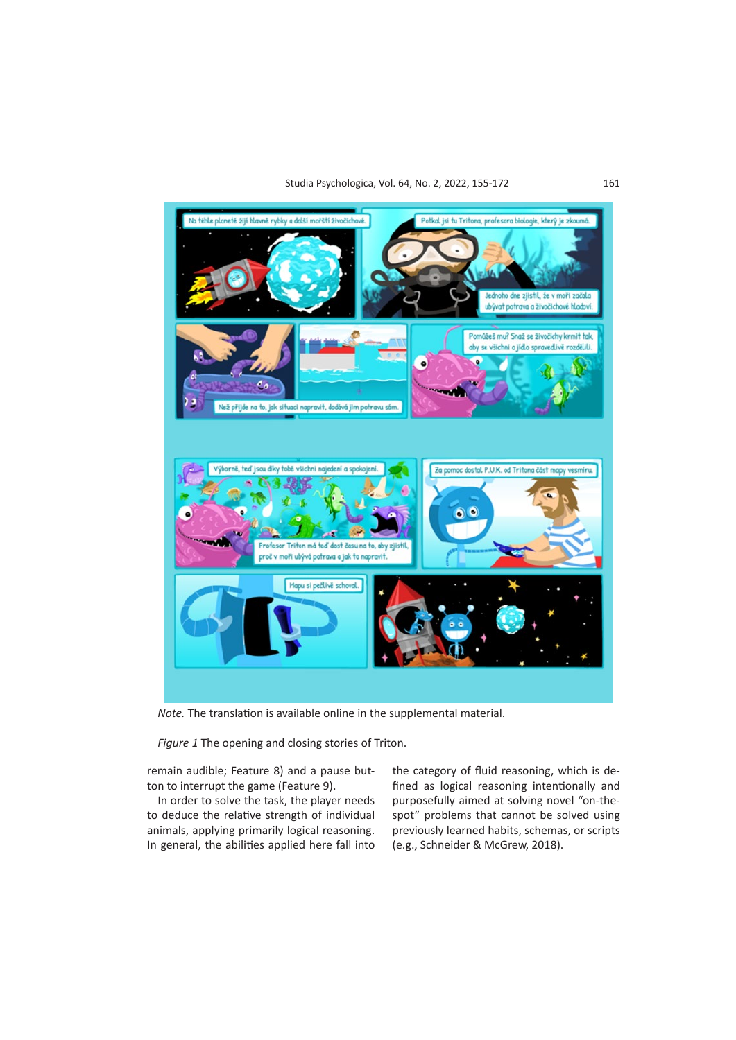

*Note.* The translation is available online in the supplemental material.

*Figure 1* The opening and closing stories of Triton.

remain audible; Feature 8) and a pause button to interrupt the game (Feature 9).

In order to solve the task, the player needs to deduce the relative strength of individual animals, applying primarily logical reasoning. In general, the abilities applied here fall into

the category of fluid reasoning, which is defined as logical reasoning intentionally and purposefully aimed at solving novel "on-thespot" problems that cannot be solved using previously learned habits, schemas, or scripts (e.g., Schneider & McGrew, 2018).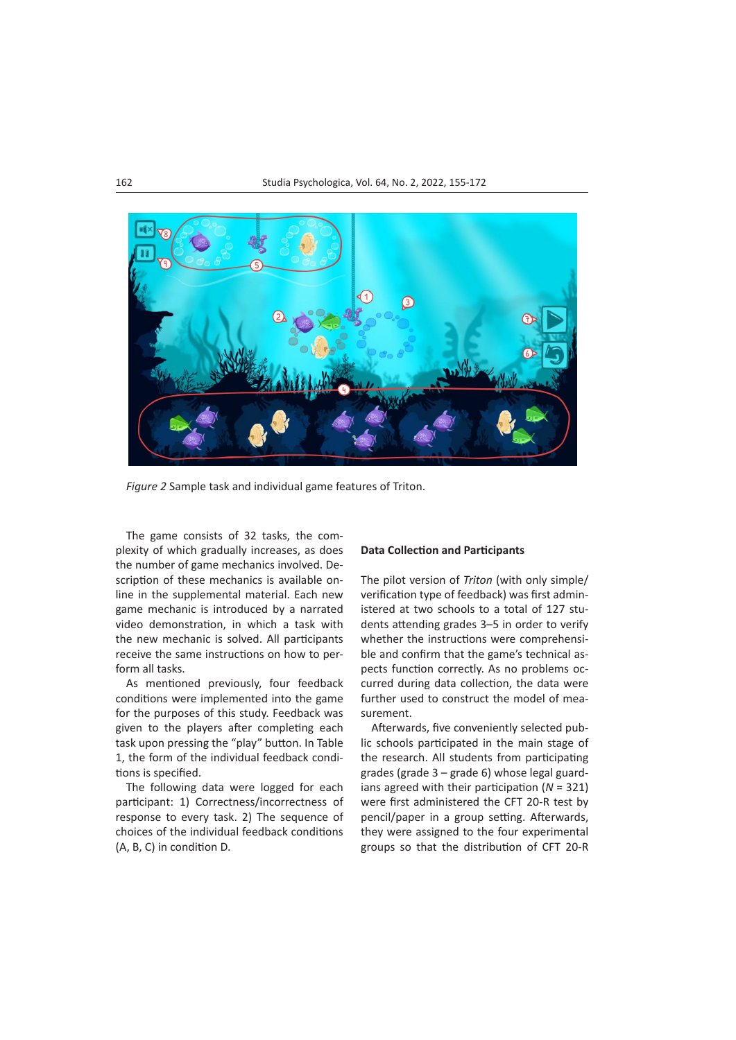

*Figure 2* Sample task and individual game features of Triton.

The game consists of 32 tasks, the complexity of which gradually increases, as does the number of game mechanics involved. Description of these mechanics is available online in the supplemental material. Each new game mechanic is introduced by a narrated video demonstration, in which a task with the new mechanic is solved. All participants receive the same instructions on how to perform all tasks.

As mentioned previously, four feedback conditions were implemented into the game for the purposes of this study. Feedback was given to the players after completing each task upon pressing the "play" button. In Table 1, the form of the individual feedback conditions is specified.

The following data were logged for each participant: 1) Correctness/incorrectness of response to every task. 2) The sequence of choices of the individual feedback conditions (A, B, C) in condition D.

#### **Data Collection and Participants**

The pilot version of *Triton* (with only simple/ verification type of feedback) was first administered at two schools to a total of 127 students attending grades 3–5 in order to verify whether the instructions were comprehensible and confirm that the game's technical aspects function correctly. As no problems occurred during data collection, the data were further used to construct the model of measurement.

Afterwards, five conveniently selected public schools participated in the main stage of the research. All students from participating grades (grade 3 – grade 6) whose legal guardians agreed with their participation (*N* = 321) were first administered the CFT 20-R test by pencil/paper in a group setting. Afterwards, they were assigned to the four experimental groups so that the distribution of CFT 20-R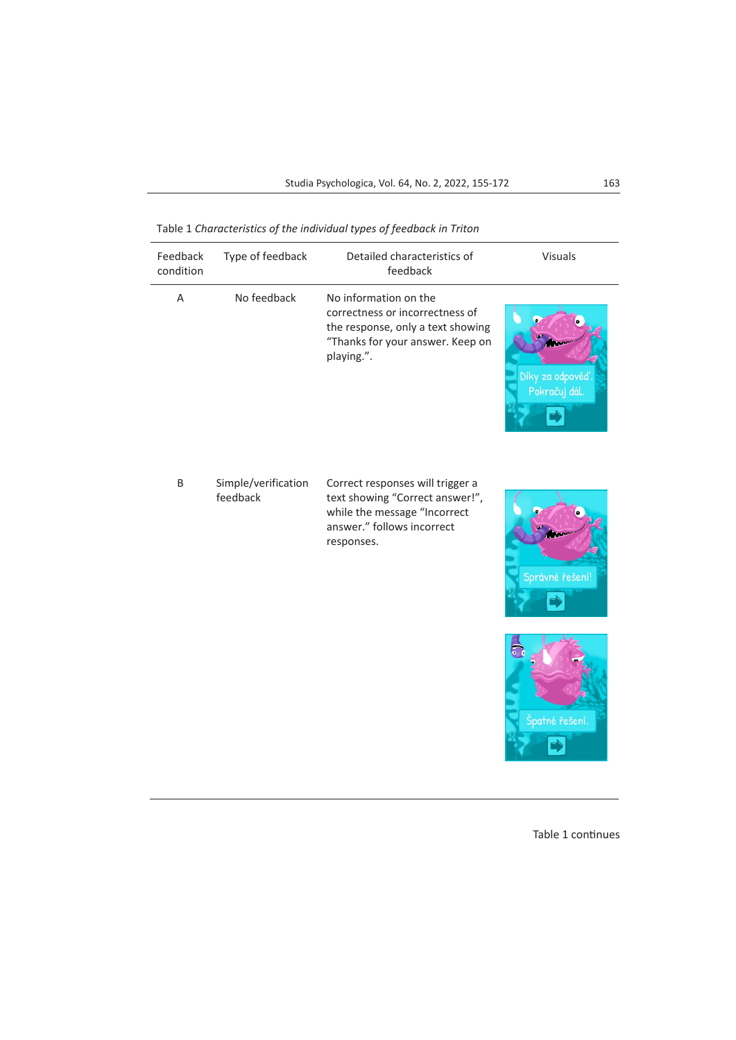Table 1 *Characteristics of the individual types of feedback in Triton*

| Feedback<br>condition | Type of feedback                | Detailed characteristics of<br>feedback                                                                                                         | <b>Visuals</b>                    |
|-----------------------|---------------------------------|-------------------------------------------------------------------------------------------------------------------------------------------------|-----------------------------------|
| Α                     | No feedback                     | No information on the<br>correctness or incorrectness of<br>the response, only a text showing<br>"Thanks for your answer. Keep on<br>playing.". | Díky za odpověď.<br>Pokračuj dál. |
| B                     | Simple/verification<br>feedback | Correct responses will trigger a<br>text showing "Correct answer!",<br>while the message "Incorrect<br>answer." follows incorrect<br>responses. | Správné řešení!                   |
|                       |                                 |                                                                                                                                                 | Špatné řešení                     |

Table 1 continues

**THE REAL**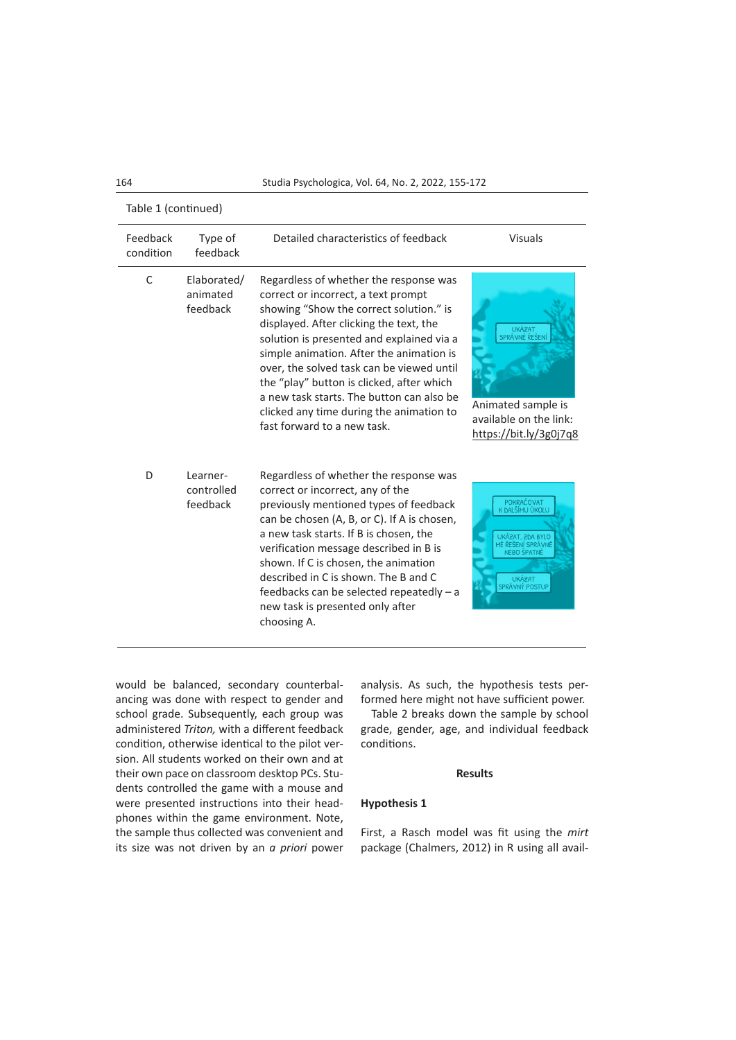164 Studia Psychologica, Vol. 64, No. 2, 2022, 155-172

| Table 1 (continued)   |                                     |                                                                                                                                                                                                                                                                                                                                                                                                                                                                                |                                                                                                                                        |  |  |
|-----------------------|-------------------------------------|--------------------------------------------------------------------------------------------------------------------------------------------------------------------------------------------------------------------------------------------------------------------------------------------------------------------------------------------------------------------------------------------------------------------------------------------------------------------------------|----------------------------------------------------------------------------------------------------------------------------------------|--|--|
| Feedback<br>condition | Type of<br>feedback                 | Detailed characteristics of feedback                                                                                                                                                                                                                                                                                                                                                                                                                                           | <b>Visuals</b>                                                                                                                         |  |  |
| C                     | Elaborated/<br>animated<br>feedback | Regardless of whether the response was<br>correct or incorrect, a text prompt<br>showing "Show the correct solution." is<br>displayed. After clicking the text, the<br>solution is presented and explained via a<br>simple animation. After the animation is<br>over, the solved task can be viewed until<br>the "play" button is clicked, after which<br>a new task starts. The button can also be<br>clicked any time during the animation to<br>fast forward to a new task. | <b>UKÁZAT</b><br>SPRÁVNÉ ŘEŠENÍ<br>Animated sample is<br>available on the link:<br>https://bit.ly/3g0j7q8                              |  |  |
| D                     | Learner-<br>controlled<br>feedback  | Regardless of whether the response was<br>correct or incorrect, any of the<br>previously mentioned types of feedback<br>can be chosen (A, B, or C). If A is chosen,<br>a new task starts. If B is chosen, the<br>verification message described in B is<br>shown. If C is chosen, the animation<br>described in C is shown. The B and C<br>feedbacks can be selected repeatedly - a<br>new task is presented only after<br>choosing A.                                         | POKRAČOVAT<br>K DALŠÍMU ÚKOLU<br>UKÁZAT, ZDA BYLO<br>MÉ ŘEŠENÍ SPRÁVNÉ<br><b>NEBO ŠPATNÉ</b><br><b>UKÁZAT</b><br><b>SPRÁVNÝ POSTUP</b> |  |  |

would be balanced, secondary counterbalancing was done with respect to gender and school grade. Subsequently, each group was administered *Triton,* with a different feedback condition, otherwise identical to the pilot version. All students worked on their own and at their own pace on classroom desktop PCs. Students controlled the game with a mouse and were presented instructions into their headphones within the game environment. Note, the sample thus collected was convenient and its size was not driven by an *a priori* power analysis. As such, the hypothesis tests performed here might not have sufficient power.

Table 2 breaks down the sample by school grade, gender, age, and individual feedback conditions.

## **Results**

#### **Hypothesis 1**

First, a Rasch model was fit using the *mirt* package (Chalmers, 2012) in R using all avail-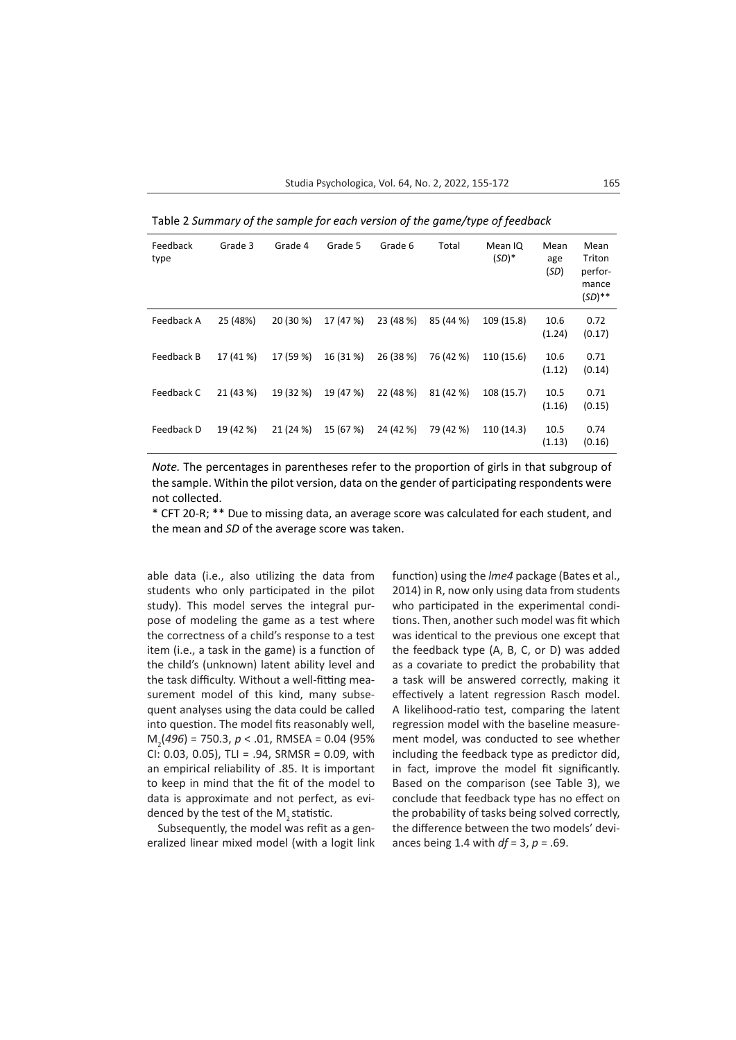Table 2 *Summary of the sample for each version of the game/type of feedback*

| Feedback<br>type | Grade 3   | Grade 4   | Grade 5   | Grade 6   | Total     | Mean IQ<br>$(SD)^*$ | Mean<br>age<br>(SD) | Mean<br>Triton<br>perfor-<br>mance<br>$(SD)$ ** |
|------------------|-----------|-----------|-----------|-----------|-----------|---------------------|---------------------|-------------------------------------------------|
| Feedback A       | 25 (48%)  | 20 (30 %) | 17 (47 %) | 23 (48 %) | 85 (44 %) | 109 (15.8)          | 10.6<br>(1.24)      | 0.72<br>(0.17)                                  |
| Feedback B       | 17 (41 %) | 17 (59 %) | 16 (31 %) | 26 (38 %) | 76 (42 %) | 110 (15.6)          | 10.6<br>(1.12)      | 0.71<br>(0.14)                                  |
| Feedback C       | 21 (43 %) | 19 (32 %) | 19 (47 %) | 22 (48 %) | 81 (42 %) | 108 (15.7)          | 10.5<br>(1.16)      | 0.71<br>(0.15)                                  |
| Feedback D       | 19 (42 %) | 21 (24 %) | 15 (67 %) | 24 (42 %) | 79 (42 %) | 110 (14.3)          | 10.5<br>(1.13)      | 0.74<br>(0.16)                                  |

*Note.* The percentages in parentheses refer to the proportion of girls in that subgroup of the sample. Within the pilot version, data on the gender of participating respondents were not collected.

\* CFT 20-R; \*\* Due to missing data, an average score was calculated for each student, and the mean and *SD* of the average score was taken.

able data (i.e., also utilizing the data from students who only participated in the pilot study). This model serves the integral purpose of modeling the game as a test where the correctness of a child's response to a test item (i.e., a task in the game) is a function of the child's (unknown) latent ability level and the task difficulty. Without a well-fitting measurement model of this kind, many subsequent analyses using the data could be called into question. The model fits reasonably well, M2 (*496*) = 750.3, *p* < .01, RMSEA = 0.04 (95%  $CI: 0.03, 0.05$ , TLI = .94, SRMSR = 0.09, with an empirical reliability of .85. It is important to keep in mind that the fit of the model to data is approximate and not perfect, as evidenced by the test of the M<sub>2</sub> statistic.

Subsequently, the model was refit as a generalized linear mixed model (with a logit link function) using the *lme4* package (Bates et al., 2014) in R, now only using data from students who participated in the experimental conditions. Then, another such model was fit which was identical to the previous one except that the feedback type (A, B, C, or D) was added as a covariate to predict the probability that a task will be answered correctly, making it effectively a latent regression Rasch model. A likelihood-ratio test, comparing the latent regression model with the baseline measurement model, was conducted to see whether including the feedback type as predictor did, in fact, improve the model fit significantly. Based on the comparison (see Table 3), we conclude that feedback type has no effect on the probability of tasks being solved correctly, the difference between the two models' deviances being 1.4 with *df* = 3, *p* = .69.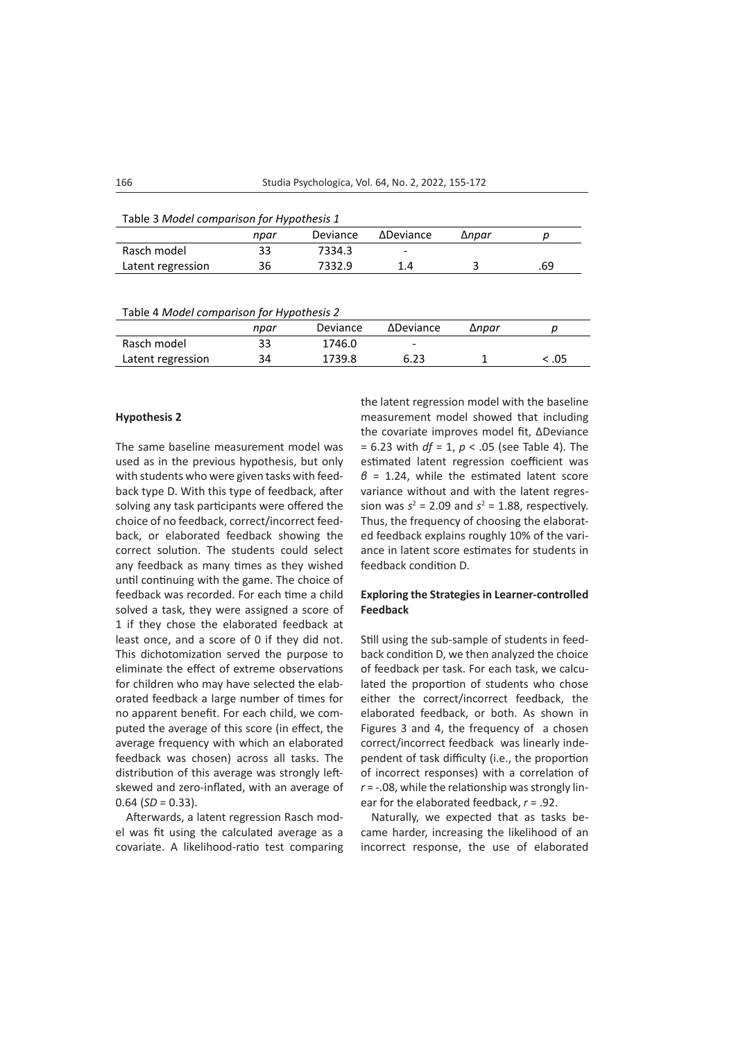| Table 3 Model comparison for Hypothesis 1 |      |          |                          |       |     |
|-------------------------------------------|------|----------|--------------------------|-------|-----|
|                                           | npar | Deviance | ΔDeviance                | ∆npar |     |
| Rasch model                               | 33   | 7334.3   | $\overline{\phantom{a}}$ |       |     |
| Latent regression                         | 36   | 7332.9   | 14                       |       | .69 |
|                                           |      |          |                          |       |     |

Table 4 *Model comparison for Hypothesis 2*

|                   | npar | Deviance | ΔDeviance | ∆npar |     |
|-------------------|------|----------|-----------|-------|-----|
| Rasch model       | 33   | 1746.0   | -         |       |     |
| Latent regression | 34   | 1739.8   | 6.23      |       | .05 |

## **Hypothesis 2**

The same baseline measurement model was used as in the previous hypothesis, but only with students who were given tasks with feedback type D. With this type of feedback, after solving any task participants were offered the choice of no feedback, correct/incorrect feedback, or elaborated feedback showing the correct solution. The students could select any feedback as many times as they wished until continuing with the game. The choice of feedback was recorded. For each time a child solved a task, they were assigned a score of 1 if they chose the elaborated feedback at least once, and a score of 0 if they did not. This dichotomization served the purpose to eliminate the effect of extreme observations for children who may have selected the elaborated feedback a large number of times for no apparent benefit. For each child, we computed the average of this score (in effect, the average frequency with which an elaborated feedback was chosen) across all tasks. The distribution of this average was strongly leftskewed and zero-inflated, with an average of  $0.64$  (*SD* = 0.33).

Afterwards, a latent regression Rasch model was fit using the calculated average as a covariate. A likelihood-ratio test comparing the latent regression model with the baseline measurement model showed that including the covariate improves model fit, ΔDeviance = 6.23 with *df* = 1, *p* < .05 (see Table 4). The estimated latent regression coefficient was *β* = 1.24, while the estimated latent score variance without and with the latent regression was  $s^2 = 2.09$  and  $s^2 = 1.88$ , respectively. Thus, the frequency of choosing the elaborated feedback explains roughly 10% of the variance in latent score estimates for students in feedback condition D.

## **Exploring the Strategies in Learner-controlled Feedback**

Still using the sub-sample of students in feedback condition D, we then analyzed the choice of feedback per task. For each task, we calculated the proportion of students who chose either the correct/incorrect feedback, the elaborated feedback, or both. As shown in Figures 3 and 4, the frequency of a chosen correct/incorrect feedback was linearly independent of task difficulty (i.e., the proportion of incorrect responses) with a correlation of *r* = -.08, while the relationship was strongly linear for the elaborated feedback, *r* = .92.

Naturally, we expected that as tasks became harder, increasing the likelihood of an incorrect response, the use of elaborated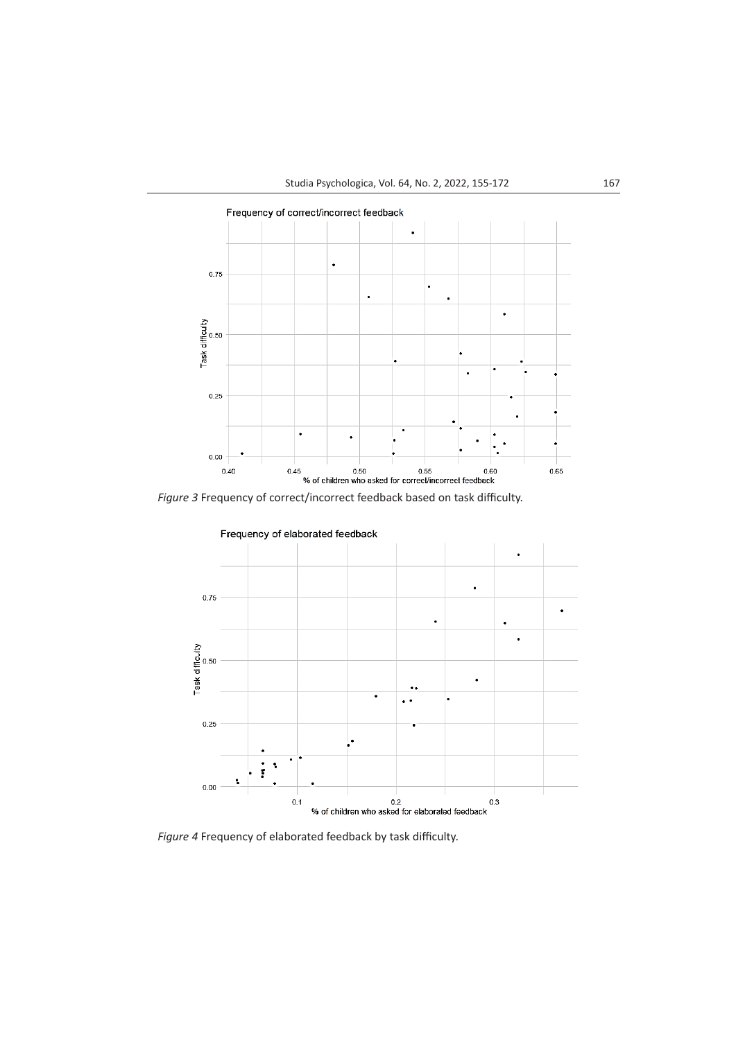

*Figure 3* Frequency of correct/incorrect feedback based on task difficulty.



*Figure 4* Frequency of elaborated feedback by task difficulty.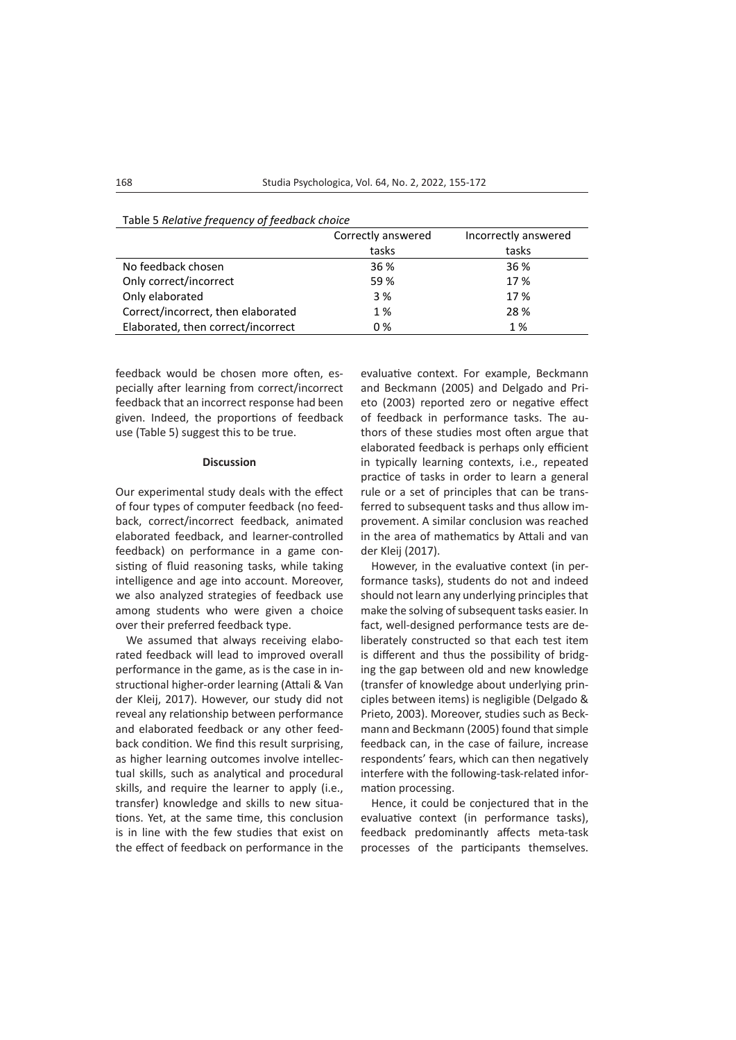|                                    | Correctly answered | Incorrectly answered |
|------------------------------------|--------------------|----------------------|
|                                    | tasks              | tasks                |
| No feedback chosen                 | 36 %               | 36 %                 |
| Only correct/incorrect             | 59 %               | 17 %                 |
| Only elaborated                    | 3 %                | 17 %                 |
| Correct/incorrect, then elaborated | 1%                 | 28 %                 |
| Elaborated, then correct/incorrect | 0%                 | 1%                   |

#### Table 5 *Relative frequency of feedback choice*

feedback would be chosen more often, especially after learning from correct/incorrect feedback that an incorrect response had been given. Indeed, the proportions of feedback use (Table 5) suggest this to be true.

#### **Discussion**

Our experimental study deals with the effect of four types of computer feedback (no feedback, correct/incorrect feedback, animated elaborated feedback, and learner-controlled feedback) on performance in a game consisting of fluid reasoning tasks, while taking intelligence and age into account. Moreover, we also analyzed strategies of feedback use among students who were given a choice over their preferred feedback type.

We assumed that always receiving elaborated feedback will lead to improved overall performance in the game, as is the case in instructional higher-order learning (Attali & Van der Kleij, 2017). However, our study did not reveal any relationship between performance and elaborated feedback or any other feedback condition. We find this result surprising, as higher learning outcomes involve intellectual skills, such as analytical and procedural skills, and require the learner to apply (i.e., transfer) knowledge and skills to new situations. Yet, at the same time, this conclusion is in line with the few studies that exist on the effect of feedback on performance in the evaluative context. For example, Beckmann and Beckmann (2005) and Delgado and Prieto (2003) reported zero or negative effect of feedback in performance tasks. The authors of these studies most often argue that elaborated feedback is perhaps only efficient in typically learning contexts, i.e., repeated practice of tasks in order to learn a general rule or a set of principles that can be transferred to subsequent tasks and thus allow improvement. A similar conclusion was reached in the area of mathematics by Attali and van der Kleij (2017).

However, in the evaluative context (in performance tasks), students do not and indeed should not learn any underlying principles that make the solving of subsequent tasks easier. In fact, well-designed performance tests are deliberately constructed so that each test item is different and thus the possibility of bridging the gap between old and new knowledge (transfer of knowledge about underlying principles between items) is negligible (Delgado & Prieto, 2003). Moreover, studies such as Beckmann and Beckmann (2005) found that simple feedback can, in the case of failure, increase respondents' fears, which can then negatively interfere with the following-task-related information processing.

Hence, it could be conjectured that in the evaluative context (in performance tasks), feedback predominantly affects meta-task processes of the participants themselves.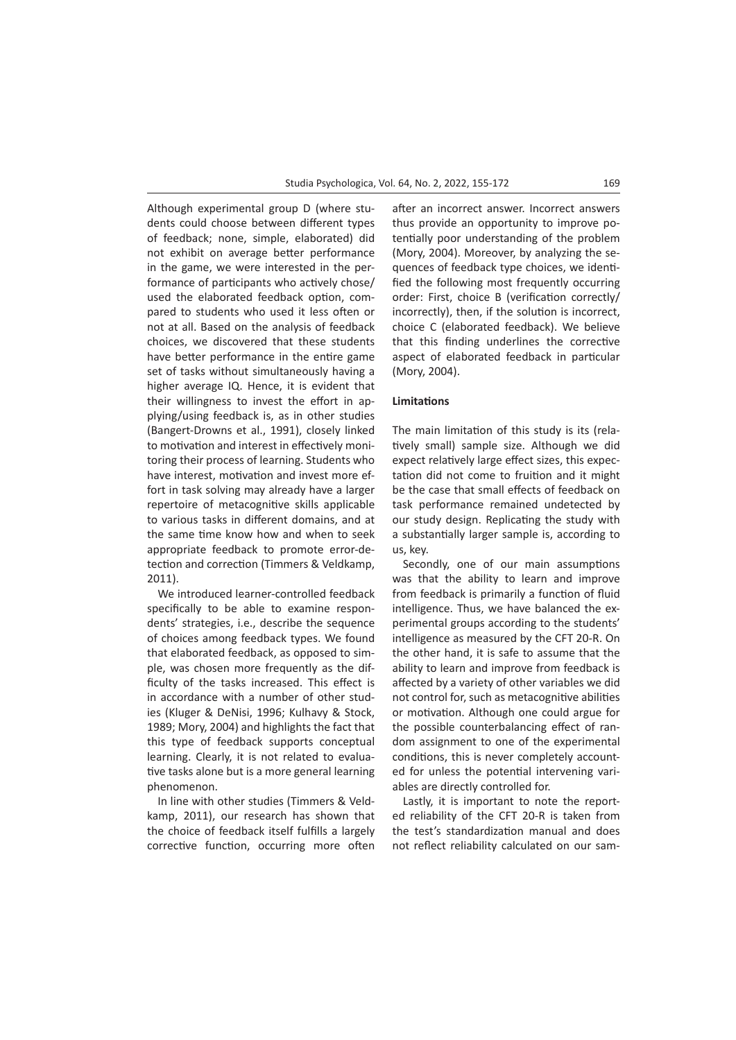Although experimental group D (where students could choose between different types of feedback; none, simple, elaborated) did not exhibit on average better performance in the game, we were interested in the performance of participants who actively chose/ used the elaborated feedback option, compared to students who used it less often or not at all. Based on the analysis of feedback choices, we discovered that these students have better performance in the entire game set of tasks without simultaneously having a higher average IQ. Hence, it is evident that their willingness to invest the effort in applying/using feedback is, as in other studies (Bangert-Drowns et al., 1991), closely linked to motivation and interest in effectively monitoring their process of learning. Students who have interest, motivation and invest more effort in task solving may already have a larger repertoire of metacognitive skills applicable to various tasks in different domains, and at the same time know how and when to seek appropriate feedback to promote error-detection and correction (Timmers & Veldkamp, 2011).

We introduced learner-controlled feedback specifically to be able to examine respondents' strategies, i.e., describe the sequence of choices among feedback types. We found that elaborated feedback, as opposed to simple, was chosen more frequently as the difficulty of the tasks increased. This effect is in accordance with a number of other studies (Kluger & DeNisi, 1996; Kulhavy & Stock, 1989; Mory, 2004) and highlights the fact that this type of feedback supports conceptual learning. Clearly, it is not related to evaluative tasks alone but is a more general learning phenomenon.

In line with other studies (Timmers & Veldkamp, 2011), our research has shown that the choice of feedback itself fulfills a largely corrective function, occurring more often

after an incorrect answer. Incorrect answers thus provide an opportunity to improve potentially poor understanding of the problem (Mory, 2004). Moreover, by analyzing the sequences of feedback type choices, we identified the following most frequently occurring order: First, choice B (verification correctly/ incorrectly), then, if the solution is incorrect, choice C (elaborated feedback). We believe that this finding underlines the corrective aspect of elaborated feedback in particular (Mory, 2004).

## **Limitations**

The main limitation of this study is its (relatively small) sample size. Although we did expect relatively large effect sizes, this expectation did not come to fruition and it might be the case that small effects of feedback on task performance remained undetected by our study design. Replicating the study with a substantially larger sample is, according to us, key.

Secondly, one of our main assumptions was that the ability to learn and improve from feedback is primarily a function of fluid intelligence. Thus, we have balanced the experimental groups according to the students' intelligence as measured by the CFT 20-R. On the other hand, it is safe to assume that the ability to learn and improve from feedback is affected by a variety of other variables we did not control for, such as metacognitive abilities or motivation. Although one could argue for the possible counterbalancing effect of random assignment to one of the experimental conditions, this is never completely accounted for unless the potential intervening variables are directly controlled for.

Lastly, it is important to note the reported reliability of the CFT 20-R is taken from the test's standardization manual and does not reflect reliability calculated on our sam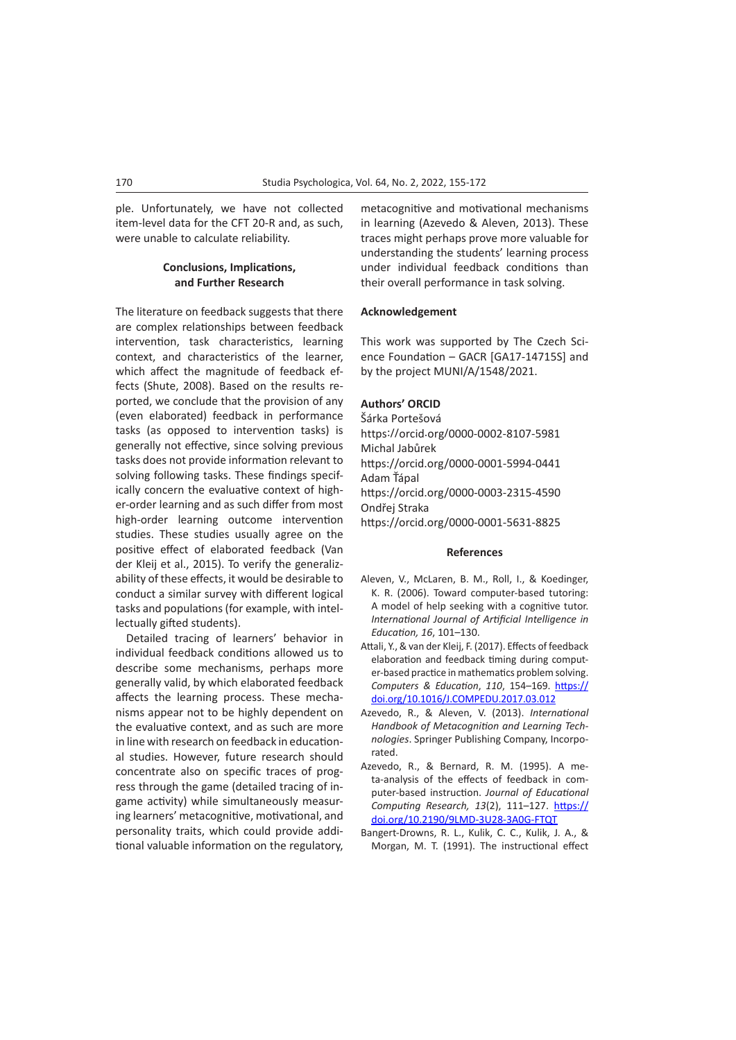ple. Unfortunately, we have not collected item-level data for the CFT 20-R and, as such, were unable to calculate reliability.

# **Conclusions, Implications, and Further Research**

The literature on feedback suggests that there are complex relationships between feedback intervention, task characteristics, learning context, and characteristics of the learner, which affect the magnitude of feedback effects (Shute, 2008). Based on the results reported, we conclude that the provision of any (even elaborated) feedback in performance tasks (as opposed to intervention tasks) is generally not effective, since solving previous tasks does not provide information relevant to solving following tasks. These findings specifically concern the evaluative context of higher-order learning and as such differ from most high-order learning outcome intervention studies. These studies usually agree on the positive effect of elaborated feedback (Van der Kleij et al., 2015). To verify the [generaliz](https://www.sciencedirect.com/topics/computer-science/generalizability)[ability](https://www.sciencedirect.com/topics/computer-science/generalizability) of these effects, it would be desirable to conduct a similar survey with different logical tasks and populations (for example, with intellectually gifted students).

Detailed tracing of learners' behavior in individual feedback conditions allowed us to describe some mechanisms, perhaps more generally valid, by which elaborated feedback affects the learning process. These mechanisms appear not to be highly dependent on the evaluative context, and as such are more in line with research on feedback in educational studies. However, future research should concentrate also on specific traces of progress through the game (detailed tracing of ingame activity) while simultaneously measuring learners' metacognitive, motivational, and personality traits, which could provide additional valuable information on the regulatory, metacognitive and motivational mechanisms in learning (Azevedo & Aleven, 2013). These traces might perhaps prove more valuable for understanding the students' learning process under individual feedback conditions than their overall performance in task solving.

#### **Acknowledgement**

This work was supported by The Czech Science Foundation – GACR [GA17-14715S] and by the project MUNI/A/1548/2021.

## **Authors' ORCID**

Šárka Portešová https://orcid.org/0000-0002-8107-5981 Michal Jabůrek https://orcid.org/0000-0001-5994-0441 Adam Ťápal https://orcid.org/0000-0003-2315-4590 Ondřej Straka https://orcid.org/0000-0001-5631-8825

#### **References**

- Aleven, V., McLaren, B. M., Roll, I., & Koedinger, K. R. (2006). Toward computer-based tutoring: A model of help seeking with a cognitive tutor. *International Journal of Artificial Intelligence in Education, 16*, 101–130.
- Attali, Y., & van der Kleij, F. (2017). Effects of feedback elaboration and feedback timing during computer-based practice in mathematics problem solving. *Computers & Education*, *110*, 154–169. [https://](https://doi.org/10.1016/J.COMPEDU.2017.03.012) [doi.org/10.1016/J.COMPEDU.2017.03.012](https://doi.org/10.1016/J.COMPEDU.2017.03.012)
- Azevedo, R., & Aleven, V. (2013). *International Handbook of Metacognition and Learning Technologies*. Springer Publishing Company, Incorporated.
- Azevedo, R., & Bernard, R. M. (1995). A meta-analysis of the effects of feedback in computer-based instruction. *Journal of Educational Computing Research, 13*(2), 111–127. [https://](https://doi.org/10.2190/9LMD-3U28-3A0G-FTQT) [doi.org/10.2190/9LMD-3U28-3A0G-FTQT](https://doi.org/10.2190/9LMD-3U28-3A0G-FTQT)
- Bangert-Drowns, R. L., Kulik, C. C., Kulik, J. A., & Morgan, M. T. (1991). The instructional effect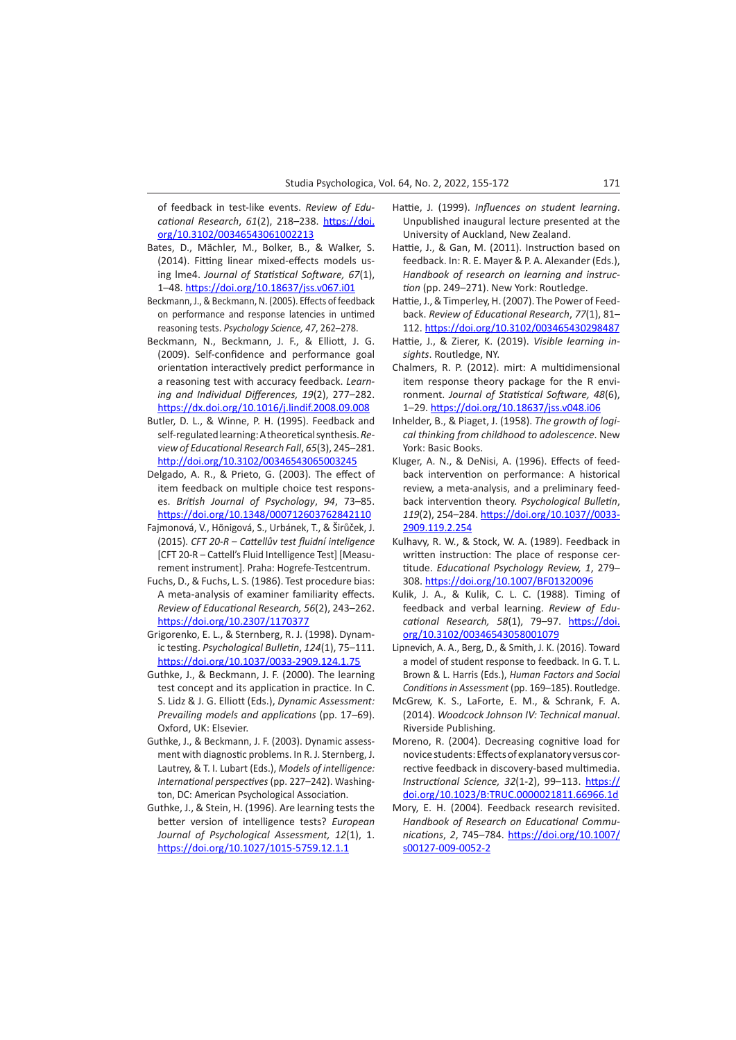of feedback in test-like events. *Review of Educational Research*, *61*(2), 218–238. [https://doi.](https://doi.org/10.3102%2F00346543061002213) [org/10.3102/00346543061002213](https://doi.org/10.3102%2F00346543061002213)

- Bates, D., Mächler, M., Bolker, B., & Walker, S. (2014). Fitting linear mixed-effects models using lme4. *Journal of Statistical Software, 67*(1), 1–48.<https://doi.org/10.18637/jss.v067.i01>
- Beckmann, J., & Beckmann, N. (2005). Effects of feedback on performance and response latencies in untimed reasoning tests. *Psychology Science, 47*, 262–278.
- Beckmann, N., Beckmann, J. F., & Elliott, J. G. (2009). Self-confidence and performance goal orientation interactively predict performance in a reasoning test with accuracy feedback. *Learning and Individual Differences, 19*(2), 277–282. https://dx.doi.org/[10.1016/j.lindif.2008.09.008](http://dx.doi.org/10.1016/j.lindif.2008.09.008)
- Butler, D. L., & Winne, P. H. (1995). Feedback and self-regulated learning: A theoretical synthesis. *Review of Educational Research Fall*, *65*(3), 245–281. [http://doi.org/10.3102/00346543065003245](http://journals.sagepub.com/doi/pdf/10.3102/00346543065003245)
- Delgado, A. R., & Prieto, G. (2003). The effect of item feedback on multiple choice test responses. *British Journal of Psychology*, *94*, 73–85. <https://doi.org/10.1348/000712603762842110>
- Fajmonová, V., Hönigová, S., Urbánek, T., & Širůček, J. (2015). *CFT 20-R* – *Cattellův test fluidní inteligence* [CFT 20-R – Cattell's Fluid Intelligence Test] [Measurement instrument]. Praha: Hogrefe-Testcentrum.
- Fuchs, D., & Fuchs, L. S. (1986). Test procedure bias: A meta-analysis of examiner familiarity effects. *Review of Educational Research, 56*(2), 243–262. [https://doi.org/10.2307/1170377](https://psycnet.apa.org/doi/10.2307/1170377)
- Grigorenko, E. L., & Sternberg, R. J. (1998). Dynamic testing. *Psychological Bulletin*, *124*(1), 75–111. <https://doi.org/10.1037/0033-2909.124.1.75>
- Guthke, J., & Beckmann, J. F. (2000). The learning test concept and its application in practice. In C. S. Lidz & J. G. Elliott (Eds.), *Dynamic Assessment: Prevailing models and applications* (pp. 17–69). Oxford, UK: Elsevier.
- Guthke, J., & Beckmann, J. F. (2003). Dynamic assessment with diagnostic problems. In R. J. Sternberg, J. Lautrey, & T. I. Lubart (Eds.), *Models of intelligence: International perspectives* (pp. 227–242). Washington, DC: American Psychological Association.
- Guthke, J., & Stein, H. (1996). Are learning tests the better version of intelligence tests? *European Journal of Psychological Assessment, 12*(1), 1. <https://doi.org/10.1027/1015-5759.12.1.1>
- Hattie, J. (1999). *Influences on student learning*. Unpublished inaugural lecture presented at the University of Auckland, New Zealand.
- Hattie, J., & Gan, M. (2011). Instruction based on feedback. In: R. E. Mayer & P. A. Alexander (Eds.), *Handbook of research on learning and instruction* (pp. 249–271). New York: Routledge.
- Hattie, J., & Timperley, H. (2007). The Power of Feedback. *Review of Educational Research*, *77*(1), 81– 112. <https://doi.org/10.3102/003465430298487>
- Hattie, J., & Zierer, K. (2019). *Visible learning insights*. Routledge, NY.
- Chalmers, R. P. (2012). mirt: A multidimensional item response theory package for the R environment. *Journal of Statistical Software, 48*(6), 1–29.<https://doi.org/10.18637/jss.v048.i06>
- Inhelder, B., & Piaget, J. (1958). *The growth of logical thinking from childhood to adolescence*. New York: Basic Books.
- Kluger, A. N., & DeNisi, A. (1996). Effects of feedback intervention on performance: A historical review, a meta-analysis, and a preliminary feedback intervention theory. *Psychological Bulletin*, *119*(2), 254–284. [https://doi.org/10.1037//0033-](https://doi.org/10.1037//0033-2909.119.2.254) [2909.119.2.254](https://doi.org/10.1037//0033-2909.119.2.254)
- Kulhavy, R. W., & Stock, W. A. (1989). Feedback in written instruction: The place of response certitude. *Educational Psychology Review, 1*, 279– 308. <https://doi.org/10.1007/BF01320096>
- Kulik, J. A., & Kulik, C. L. C. (1988). Timing of feedback and verbal learning. *Review of Educational Research, 58*(1), 79–97. [https://doi.](https://doi.org/10.3102%2F00346543058001079) [org/10.3102/00346543058001079](https://doi.org/10.3102%2F00346543058001079)
- Lipnevich, A. A., Berg, D., & Smith, J. K. (2016). Toward a model of student response to feedback. In G. T. L. Brown & L. Harris (Eds.), *Human Factors and Social Conditions in Assessment* (pp. 169–185). Routledge.
- McGrew, K. S., LaForte, E. M., & Schrank, F. A. (2014). *Woodcock Johnson IV: Technical manual*. Riverside Publishing.
- Moreno, R. (2004). Decreasing cognitive load for novice students: Effects of explanatory versus corrective feedback in discovery-based multimedia. *Instructional Science, 32*(1-2), 99–113. [https://](https://doi.org/10.1023/B:TRUC.0000021811.66966.1d) [doi.org/10.1023/B:TRUC.0000021811.66966.1d](https://doi.org/10.1023/B:TRUC.0000021811.66966.1d)
- Mory, E. H. (2004). Feedback research revisited. *Handbook of Research on Educational Communications*, *2*, 745–784. [https://doi.org/10.1007/](https://doi.org/10.1007/s00127-009-0052-2) [s00127-009-0052-2](https://doi.org/10.1007/s00127-009-0052-2)